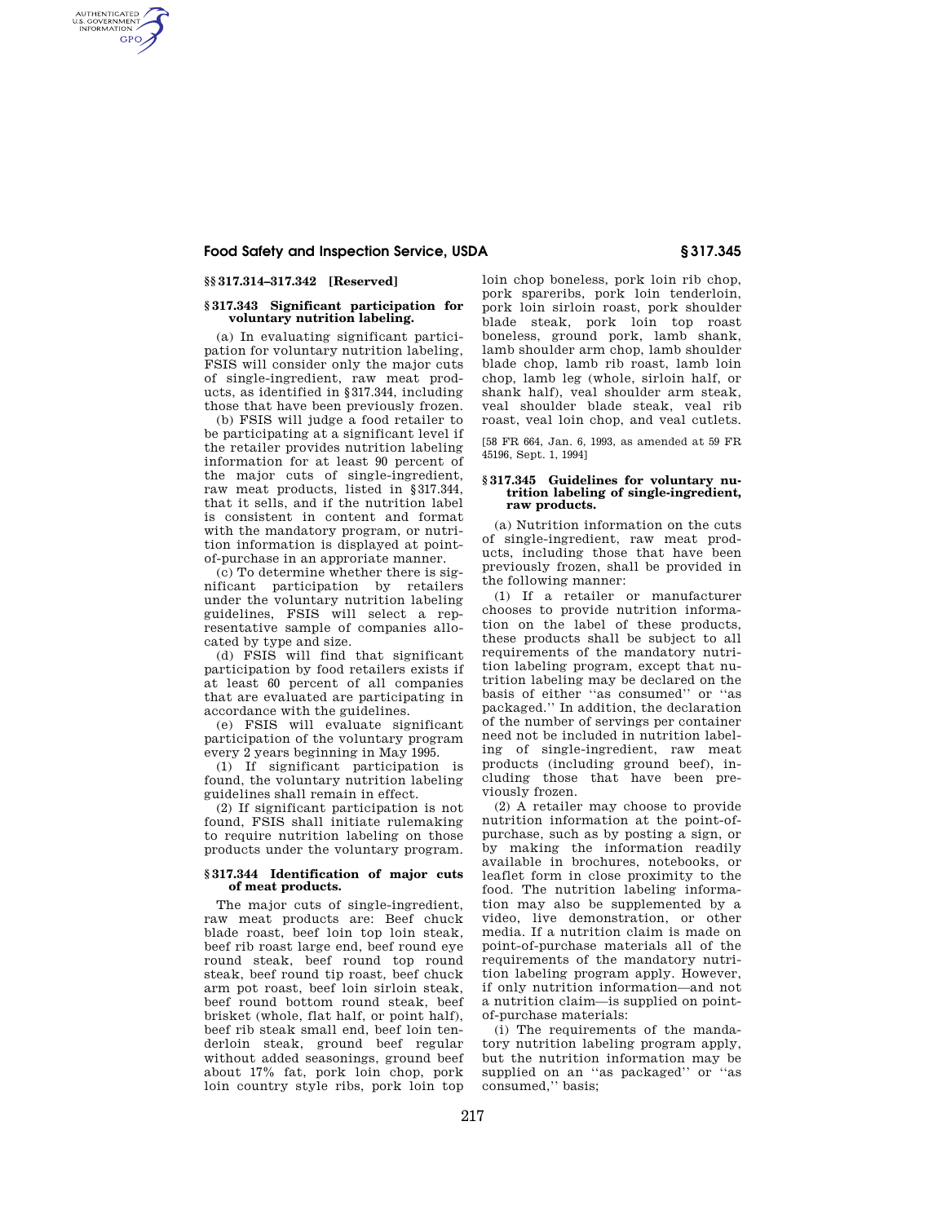# **Food Safety and Inspection Service, USDA § 317.345**

## **§§ 317.314–317.342 [Reserved]**

AUTHENTICATED<br>U.S. GOVERNMENT<br>INFORMATION **GPO** 

## **§ 317.343 Significant participation for voluntary nutrition labeling.**

(a) In evaluating significant participation for voluntary nutrition labeling, FSIS will consider only the major cuts of single-ingredient, raw meat products, as identified in §317.344, including those that have been previously frozen.

(b) FSIS will judge a food retailer to be participating at a significant level if the retailer provides nutrition labeling information for at least 90 percent of the major cuts of single-ingredient, raw meat products, listed in §317.344, that it sells, and if the nutrition label is consistent in content and format with the mandatory program, or nutrition information is displayed at pointof-purchase in an approriate manner.

(c) To determine whether there is significant participation by retailers under the voluntary nutrition labeling guidelines, FSIS will select a representative sample of companies allocated by type and size.

(d) FSIS will find that significant participation by food retailers exists if at least 60 percent of all companies that are evaluated are participating in accordance with the guidelines.

(e) FSIS will evaluate significant participation of the voluntary program every 2 years beginning in May 1995.

(1) If significant participation is found, the voluntary nutrition labeling guidelines shall remain in effect.

(2) If significant participation is not found, FSIS shall initiate rulemaking to require nutrition labeling on those products under the voluntary program.

## **§ 317.344 Identification of major cuts of meat products.**

The major cuts of single-ingredient, raw meat products are: Beef chuck blade roast, beef loin top loin steak, beef rib roast large end, beef round eye round steak, beef round top round steak, beef round tip roast, beef chuck arm pot roast, beef loin sirloin steak, beef round bottom round steak, beef brisket (whole, flat half, or point half), beef rib steak small end, beef loin tenderloin steak, ground beef regular without added seasonings, ground beef about 17% fat, pork loin chop, pork loin country style ribs, pork loin top

loin chop boneless, pork loin rib chop, pork spareribs, pork loin tenderloin, pork loin sirloin roast, pork shoulder blade steak, pork loin top roast boneless, ground pork, lamb shank, lamb shoulder arm chop, lamb shoulder blade chop, lamb rib roast, lamb loin chop, lamb leg (whole, sirloin half, or shank half), veal shoulder arm steak, veal shoulder blade steak, veal rib roast, veal loin chop, and veal cutlets.

[58 FR 664, Jan. 6, 1993, as amended at 59 FR 45196, Sept. 1, 1994]

### **§ 317.345 Guidelines for voluntary nutrition labeling of single-ingredient, raw products.**

(a) Nutrition information on the cuts of single-ingredient, raw meat products, including those that have been previously frozen, shall be provided in the following manner:

(1) If a retailer or manufacturer chooses to provide nutrition information on the label of these products, these products shall be subject to all requirements of the mandatory nutrition labeling program, except that nutrition labeling may be declared on the basis of either ''as consumed'' or ''as packaged.'' In addition, the declaration of the number of servings per container need not be included in nutrition labeling of single-ingredient, raw meat products (including ground beef), including those that have been previously frozen.

(2) A retailer may choose to provide nutrition information at the point-ofpurchase, such as by posting a sign, or by making the information readily available in brochures, notebooks, or leaflet form in close proximity to the food. The nutrition labeling information may also be supplemented by a video, live demonstration, or other media. If a nutrition claim is made on point-of-purchase materials all of the requirements of the mandatory nutrition labeling program apply. However, if only nutrition information—and not a nutrition claim—is supplied on pointof-purchase materials:

(i) The requirements of the mandatory nutrition labeling program apply, but the nutrition information may be supplied on an ''as packaged'' or ''as consumed,'' basis;